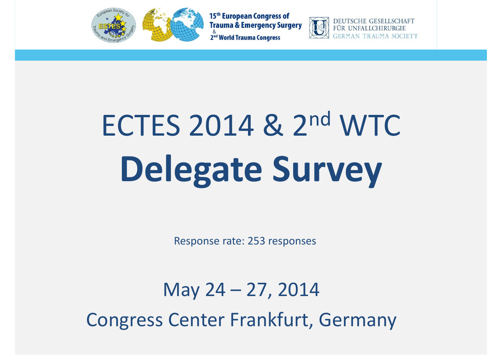



DEUTSCHE GESELLSCHAFT **FÜR UNFAI** 

# ECTES 2014 & 2n<sup>d</sup> WTC **Delegate Survey**

Response rate: 253 responses

May 24 – 27, 2014 Congress Center Frankfurt, Germany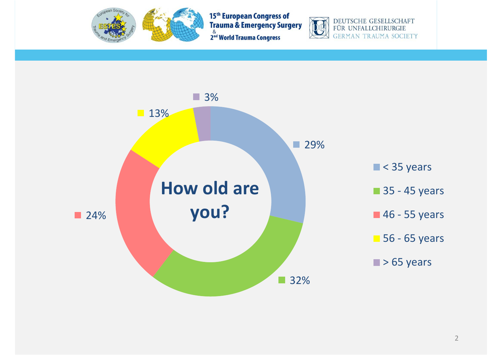



DEUTSCHE GESELLSCHAFT<br>FÜR UNFALLCHIRURGIE **GERMAN TRAUMA SOCIETY** 

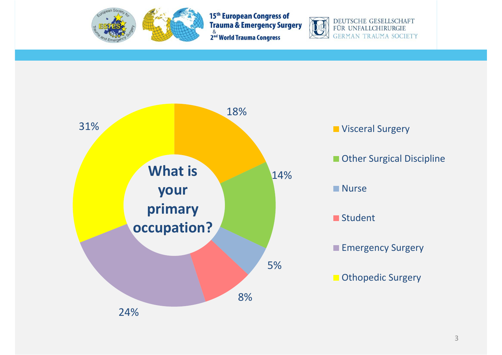



DEUTSCHE GESELLSCHAFT<br>FÜR UNFALLCHIRURGIE **GERMAN TRAUMA SOCIETY** 

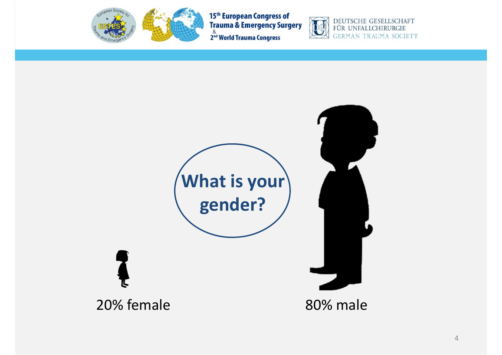

15th European Congress of<br>Trauma & Emergency Surgery 2<sup>8</sup> World Trauma Congress



DEUTSCHE GESELLSCHAFT<br>FÜR UNFALLCHIRURGIE **GERMAN TRAUMA SOCIETY** 

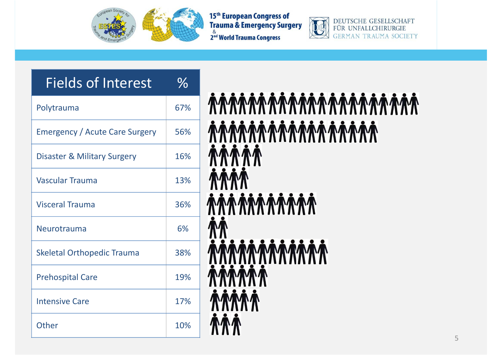



DEUTSCHE GESELLSCHAFT FÜR UNFALLCHIRURGIE **GERMAN TRAUMA SOCIETY** 

#### Fields of Interest  $\frac{0}{6}$

| Polytrauma                            | 67% |
|---------------------------------------|-----|
| <b>Emergency / Acute Care Surgery</b> | 56% |
| Disaster & Military Surgery           | 16% |
| <b>Vascular Trauma</b>                | 13% |
| <b>Visceral Trauma</b>                | 36% |
|                                       |     |
| Neurotrauma                           | 6%  |
| <b>Skeletal Orthopedic Trauma</b>     | 38% |
| <b>Prehospital Care</b>               | 19% |
| <b>Intensive Care</b>                 | 17% |

# *ARRAMARAMARAMAR* 88 N **MMM MMM**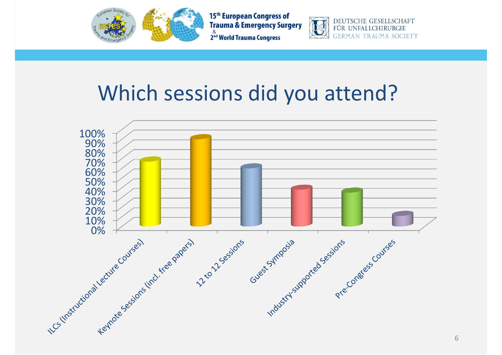



DEUTSCHE GESELLSCHAFT FÜR UNFALLCHIRURGIE TRAUMA SOCIETY

### Which sessions did you attend?

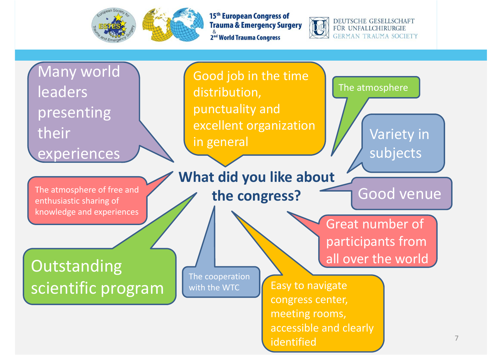



**DEUTSCHE GESELLSCHAFT** FÜR UNFALLCHIRURGIE **GERMAN TRAUMA SOCIETY** 

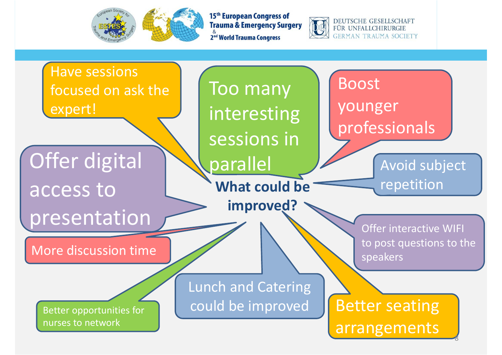



**DEUTSCHE GESELLSCHAFT** FÜR UNFALLCHIRURGIE GERMAN TRAUMA SOCIETY

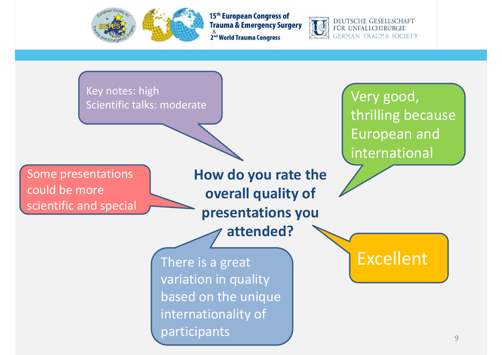



DEUTSCHE GESELLSCHAFT FÜR UNFALLCHIRURGIE GERMAN TRAUMA SOCIETY

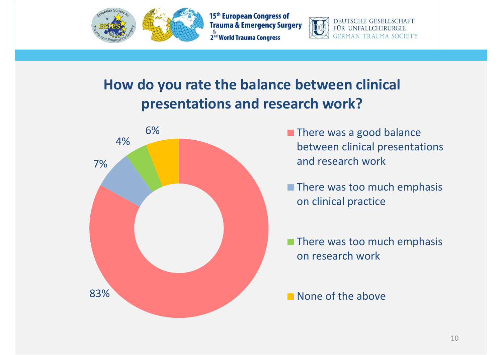



DEUTSCHE GESELLSCHAFT FÜR UNFALLCH

#### **How do you rate the balance between clinical presentations and research work?**



- There was <sup>a</sup> good balance between clinical presentations and research work
- There was too much emphasis on clinical practice

There was too much emphasis on research work

None of the above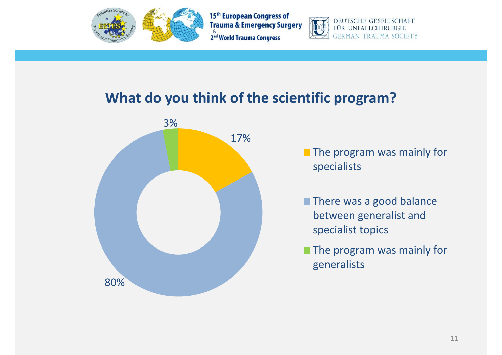



DEUTSCHE GESELLSCHAFT FÜR UNFALLCH

#### **What do you think of the scientific program?**



The program was mainly for specialists

- There was <sup>a</sup> good balance between generalist and specialist topics
- The program was mainly for generalists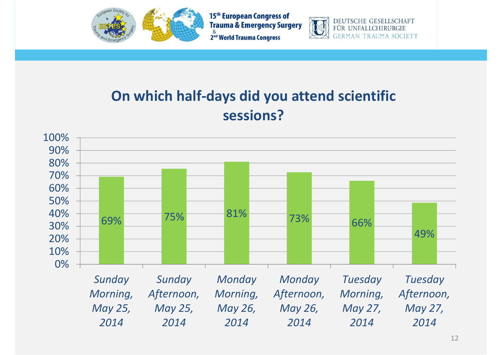



**DEUTSCHE GESELLSCHAFT** FÜR UNFALLCHIRURGIE **GERMAN TRAUMA SOCIETY** 

#### **On which half‐days did you attend scientific sessions?**

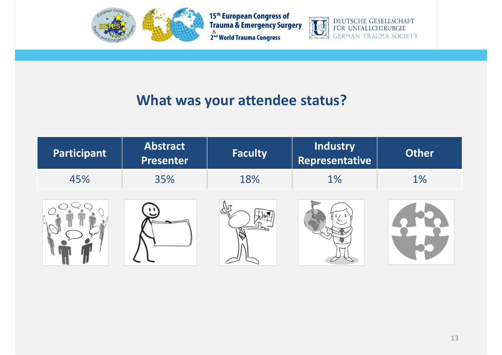



DEUTSCHE GESELLSCHAFT<br>FÜR UNFALLCHIRURGIE **GERMAN TRAUMA SOCIETY** 

#### **What was your attendee status?**

| Participant | <b>Abstract</b><br><b>Presenter</b> | <b>Faculty</b> | <b>Industry</b><br>Representative | <b>Other</b> |
|-------------|-------------------------------------|----------------|-----------------------------------|--------------|
| 45%         | 35%                                 | 18%            | 1%                                | $1\%$        |
|             |                                     |                |                                   |              |

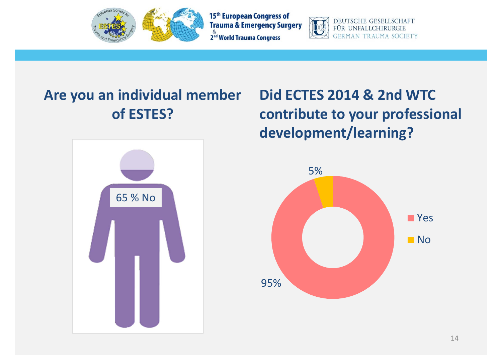



DEUTSCHE GESELLSCHAFT FÜR UNFALLCHIRURGIE GERMAN TRAUMA **SOCIETY** 

#### **Are you an individual member of ESTES?**



### **Did ECTES 2014 & 2nd WTC contribute to your professional development/learning?**

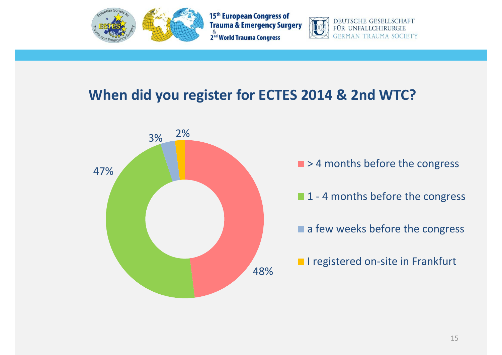



DEUTSCHE GESELLSCHAFT FÜR UNFALLO

#### **When did you register for ECTES 2014 & 2nd WTC?**



- > 4 months before the congress
- 1 ‐ 4 months before the congress
- a few weeks before the congress
- I registered on-site in Frankfurt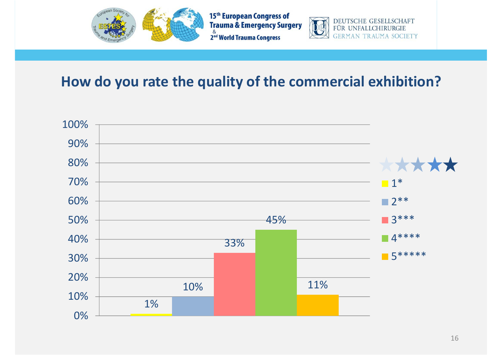



#### **How do you rate the quality of the commercial exhibition?**

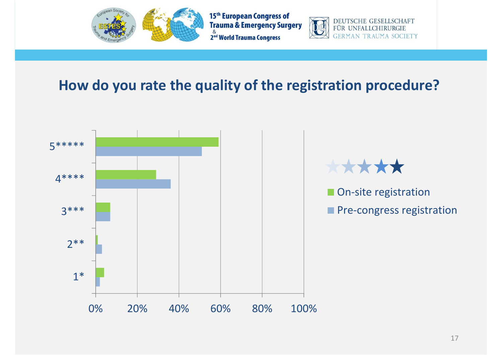



DEUTSCHE GESELLSCHAFT FÜR UNFALLCHIRURGIE **GERMAN TRAUMA SOCIETY** 

#### **How do you rate the quality of the registration procedure?**

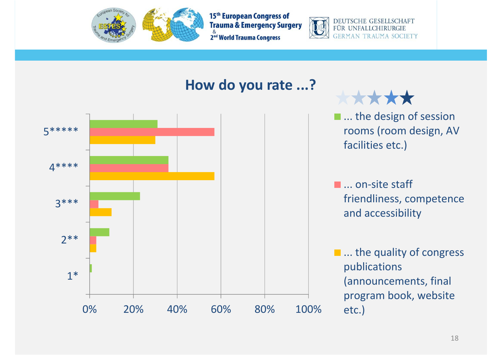



DEUTSCHE GESELLSCHAFT FÜR UNFALLCHIRURGIE **GERMAN TRAUMA SOCIETY** 





... the design of session rooms (room design, AV facilities etc.)

... on‐site staff friendliness, competence and accessibility

... the quality of congress publications (announcements, final program book, website etc.)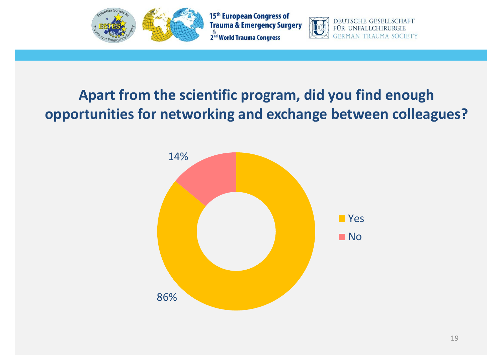



**DEUTSCHE GESEI** 

FÜR UNFALLCE

**SCHAFT** 

**SOCIETY** 

#### **Apart from the scientific program, did you find enough opportunities for networking and exchange between colleagues?**

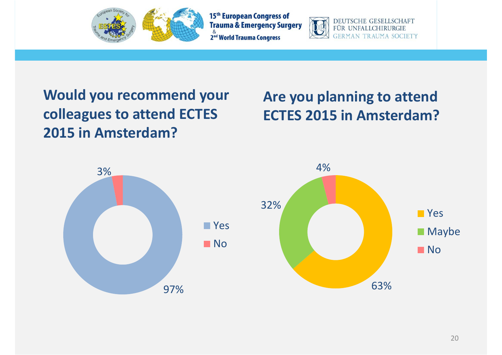



DEUTSCHE GESELLSCHAFT FÜR UNFALLCHIRURGIE GERMAN TRAUMA SOCIETY

#### **Would you recommend your colleagues to attend ECTES 2015 in Amsterdam?**

#### **Are you planning to attend ECTES 2015 in Amsterdam?**